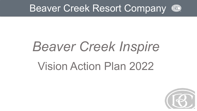

# *Beaver Creek Inspire* Vision Action Plan 2022

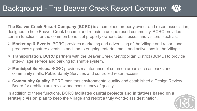

**The Beaver Creek Resort Company (BCRC)** is a combined property owner and resort association, designed to help Beaver Creek become and remain a unique resort community. BCRC provides certain functions for the common benefit of property owners, businesses and visitors, such as:

- **Marketing & Events.** BCRC provides marketing and advertising of the Village and resort, and produces signature events in addition to ongoing entertainment and activations in the Village.
- **Transportation.** BCRC partners with the Beaver Creek Metropolitan District (BCMD) to provide inter-village service and parking lot shuttle system.
- **Municipal Services.** BCRC provides maintenance of common areas such as parks and community malls, Public Safety Services and controlled resort access.
- **Community Quality.** BCRC monitors environmental quality and established a Design Review Board for architectural review and consistency of quality.

In addition to these functions, BCRC facilitates **capital projects and initiatives based on a strategic vision plan** to keep the Village and resort a truly world-class destination.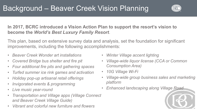

**In 2017, BCRC introduced a Vision Action Plan to support the resort's vision to become the** *World's Best Luxury Family Resort*.

This plan, based on extensive survey data and analysis, set the foundation for significant improvements, including the following accomplishments:

- *Beaver Creek Wonder art installations*
- *Covered Bridge bus shelter and fire pit*
- *Four additional fire pits and gathering spaces*
- *Turfed summer ice rink games and activation*
- *Holiday pop-up artisanal retail offerings*
- *Invigorated events & programming*
- *Live music year-round*
- *Transportation and Village apps (Village Connect and Beaver Creek Village Guide)*
- *Vibrant and colorful new furniture and flowers*
- *Winter Village accent lighting*
- *Village-wide liquor license (CCA or Common Consumption Area)*
- *10G Village Wi-Fi*
- *Village-wide group business sales and marketing platform*
- *Enhanced landscaping along Village Road*

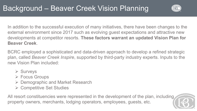

In addition to the successful execution of many initiatives, there have been changes to the external environment since 2017 such as evolving guest expectations and attractive new developments at competitor resorts. **These factors warrant an updated Vision Plan for Beaver Creek**.

BCRC employed a sophisticated and data-driven approach to develop a refined strategic plan, called *Beaver Creek Inspire*, supported by third-party industry experts. Inputs to the new Vision Plan included:

- $\triangleright$  Surveys
- Focus Groups
- **► Demographic and Market Research**
- **► Competitive Set Studies**

All resort constituencies were represented in the development of the plan, including property owners, merchants, lodging operators, employees, guests, etc.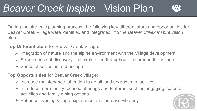### *Beaver Creek Inspire -* Vision Plan



During the strategic planning process, the following key differentiators and opportunities for Beaver Creek Village were identified and integrated into the *Beaver Creek Inspire* vision plan:

#### **Top Differentiators** for Beaver Creek Village:

- $\triangleright$  Integration of nature and the alpine environment with the Village development
- $\triangleright$  Strong sense of discovery and exploration throughout and around the Village
- $\triangleright$  Sense of seclusion and escape

#### **Top Opportunities** for Beaver Creek Village:

- $\triangleright$  Increase maintenance, attention to detail, and upgrades to facilities
- $\triangleright$  Introduce more family-focused offerings and features, such as engaging spaces, activities and family dining options
- Enhance evening Village experience and increase vibrancy

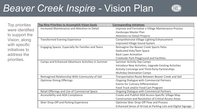#### *Beaver Creek Inspire -* Vision Plan



Top priorities were identified to support the Vision, along with specific initiatives to address the priorities.

| <b>Top Nine Priorities to Accomplish Vision Goals</b> | <b>Corresponding Initiatives</b>                              |  |
|-------------------------------------------------------|---------------------------------------------------------------|--|
| Increased Maintenance and Attention to Detail         | Improve and Formalize a Village Maintenance Process           |  |
|                                                       | Hardscape Master Plan                                         |  |
|                                                       | <b>Attention-to-Detail Projects</b>                           |  |
| <b>Transformed Evening Experience</b>                 | Comprehensive Village Lighting Enhancement                    |  |
|                                                       | <b>Improved Village Sound System</b>                          |  |
| Engaging Spaces, Especially for Families and Teens    | Reimagine the Beaver Creek Sports Patio                       |  |
|                                                       | <b>Dedicated Kids/Teen Space</b>                              |  |
|                                                       | <b>Back Lawn Activation</b>                                   |  |
|                                                       | <b>Creekside Park Playground and Facilities</b>               |  |
| Camps and Enhanced Adventure Activities in Summer     | <b>Summer Activity Day Camps</b>                              |  |
|                                                       | Introduce New Activities, Upgrade Existing Activities         |  |
|                                                       | <b>Activity Concierge and Third-Party Partnerships</b>        |  |
|                                                       | <b>Multiday Destination Camps</b>                             |  |
| Reimagined Relationship With Community of Vail        | Transportation Route Between Beaver Creek and Vail            |  |
| <b>Optimize Dining Offerings</b>                      | <b>Ongoing Dialogue with Commercial Partners</b>              |  |
|                                                       | <b>Events for Culinary Differentiation</b>                    |  |
|                                                       | Food Truck and/or Food Cart Program                           |  |
| Retail Offerings and Use of Commercial Space          | <b>Ongoing Dialogue with Commercial Partners</b>              |  |
| Accessibility and ADA Compliance                      | Create and Publish ADA Access-Specific Village Map            |  |
|                                                       | <b>Construction and Resolution of Critical Access Areas</b>   |  |
| Skier Drop-Off and Parking Experience                 | <b>Optimize Skier Drop-Off Flow and Process</b>               |  |
|                                                       | Enhanced Sense of Arrival at Parking Lots and Digital Signage |  |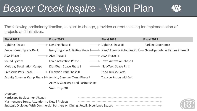#### *Beaver Creek Inspire -* Vision Plan



The following preliminary timeline, subject to change, provides current thinking for implementation of projects and initiatives.

| <b>Fiscal 2022</b>                                                               | <b>Fiscal 2023</b>                                                                           | <b>Fiscal 2024</b>              | <b>Fiscal 2025</b>        |  |  |
|----------------------------------------------------------------------------------|----------------------------------------------------------------------------------------------|---------------------------------|---------------------------|--|--|
| Lighting Phase I                                                                 | Lighting Phase II                                                                            | Lighting Phase III              | <b>Parking Experience</b> |  |  |
| <b>Beaver Creek Sports Deck</b>                                                  | New/Upgrade Activities Phase I New/Upgrade Activities Ph II New/Upgrade Activities Phase III |                                 |                           |  |  |
| <b>ADA Phase I</b>                                                               | ADA Phase II                                                                                 | <b>ADA Phase III</b>            |                           |  |  |
| Sound System                                                                     | <b>Lawn Activation Phase I</b>                                                               | Lawn Activation Phase II        |                           |  |  |
| <b>Multiday Destination Camps</b>                                                | Kids/Teen Space Phase I                                                                      | Kids/Teen Space Ph II           |                           |  |  |
| Creekside Park Phase I                                                           | Creekside Park Phase II                                                                      | Food Trucks/Carts               |                           |  |  |
|                                                                                  | Activity Summer Camp Phase I Activity Summer Camp Phase II                                   | <b>Transportation with Vail</b> |                           |  |  |
|                                                                                  | <b>Activity Concierge and Partnerships</b>                                                   |                                 |                           |  |  |
|                                                                                  | Skier Drop Off                                                                               |                                 |                           |  |  |
| Ongoing:                                                                         |                                                                                              |                                 |                           |  |  |
| Hardscape Replacement/Repair                                                     |                                                                                              |                                 |                           |  |  |
| Maintenance Surge, Attention-to-Detail Projects                                  |                                                                                              |                                 |                           |  |  |
| Strategic Dialogue With Commercial Partners on Dining, Retail, Experience Spaces |                                                                                              |                                 |                           |  |  |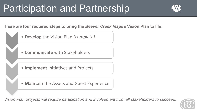### Participation and Partnership



There are **four required steps to bring the** *Beaver Creek Inspire* **Vision Plan to life**:

- **Develop** the Vision Plan *(complete)*
- **Communicate** with Stakeholders
- **Implement** Initiatives and Projects
- **Maintain** the Assets and Guest Experience

*Vision Plan projects will require participation and involvement from all stakeholders to succeed*.

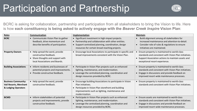### Participation and Partnership



BCRC is asking for collaboration, partnership and participation from all stakeholders to bring the Vision to life. Here is how **each constituency is being asked to actively engage with the** *Beaver Creek Inspire* **Vision Plan**:

| <b>Roles</b>                                                                | Communication                                                                                                                    | Implementation                                                                                                                                                                                                      | <b>Maintain</b>                                                                                                                                                                                            |
|-----------------------------------------------------------------------------|----------------------------------------------------------------------------------------------------------------------------------|---------------------------------------------------------------------------------------------------------------------------------------------------------------------------------------------------------------------|------------------------------------------------------------------------------------------------------------------------------------------------------------------------------------------------------------|
| <b>BCRC</b>                                                                 | • Communicate Vision Plan to gather<br>feedback, drive momentum and<br>describe benefits of participation.                       | • Significant investment in high-impact projects.<br>• Partnership and collaboration with other entities.<br>• Support centralized planning, coordination, design<br>resources for certain broad-reaching projects. | Build alignment among all stakeholders for<br>increased maintenance and attention-to-detail.<br>Consider role of rules & regulations to ensure<br>$\bullet$<br>initiatives are maintained.                 |
| <b>Property Owners</b>                                                      | • Help spread the word, provide<br>constructive feedback.<br>• Share thoughts and support with<br>local Associations and Boards. | • Encourage local Associations to participate in specific and<br>broad improvements consistent with the Vision Plan.                                                                                                | Ensure property is maintained to world-class<br>standards and consistent with Vision Plan initiatives.<br>• Support Association actions to maintain assets and<br>exceptional resort experience.           |
| <b>Building Associations</b>                                                | • Inform residents and businesses of<br>potential projects and improvements.<br>• Provide constructive feedback.                 | • Participate in Vision Plan projects such as enhanced<br>lighting, maintenance, and modernization.<br>• Leverage the centralized planning, coordination and<br>design resources provided by BCRC.                  | • Ensure property is maintained to world-class<br>standards and consistent with Vision Plan initiatives.<br>• Engage in discussions and provide feedback on<br>improved resort-wide maintenance processes. |
| <b>Business Community:</b><br>Vail Resorts, Merchant<br>& Lodging Operators | • Help spread the word, provide<br>constructive feedback.                                                                        | • Encourage building Associations to participate in Vision<br>Plan initiatives.<br>• Participate in Vision Plan storefront and building<br>improvements such as lighting, maintenance and<br>modernization.         | • Ensure property is maintained to world-class<br>standards and consistent with Vision Plan initiatives.                                                                                                   |
| <b>BCMD</b>                                                                 | • Inform stakeholders of potential<br>projects and improvements, provide<br>constructive feedback.                               | • Participate in Vision Plan projects such as enhanced<br>lighting, maintenance, and modernization.<br>• Leverage the centralized planning, coordination and<br>design resources provided by BCRC.                  | • Ensure assets are maintained to world-class<br>standards and consistent with Vision Plan initiatives.<br>• Engage in discussions and provide feedback on<br>improved resort-wide maintenance processes.  |